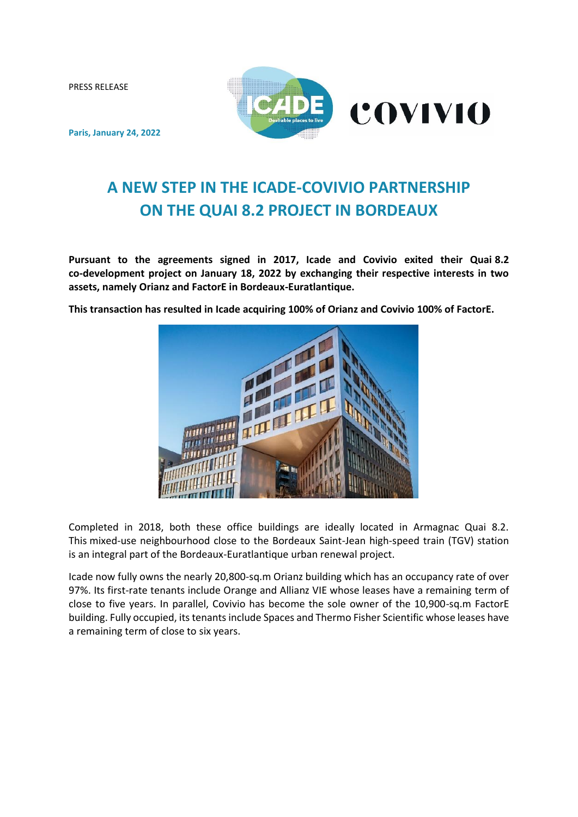PRESS RELEASE



**Paris, January 24, 2022**

# **A NEW STEP IN THE ICADE-COVIVIO PARTNERSHIP ON THE QUAI 8.2 PROJECT IN BORDEAUX**

**Pursuant to the agreements signed in 2017, Icade and Covivio exited their Quai 8.2 co-development project on January 18, 2022 by exchanging their respective interests in two assets, namely Orianz and FactorE in Bordeaux-Euratlantique.**

**This transaction has resulted in Icade acquiring 100% of Orianz and Covivio 100% of FactorE.** 



Completed in 2018, both these office buildings are ideally located in Armagnac Quai 8.2. This mixed-use neighbourhood close to the Bordeaux Saint-Jean high-speed train (TGV) station is an integral part of the Bordeaux-Euratlantique urban renewal project.

Icade now fully owns the nearly 20,800-sq.m Orianz building which has an occupancy rate of over 97%. Its first-rate tenants include Orange and Allianz VIE whose leases have a remaining term of close to five years. In parallel, Covivio has become the sole owner of the 10,900-sq.m FactorE building. Fully occupied, its tenants include Spaces and Thermo Fisher Scientific whose leases have a remaining term of close to six years.